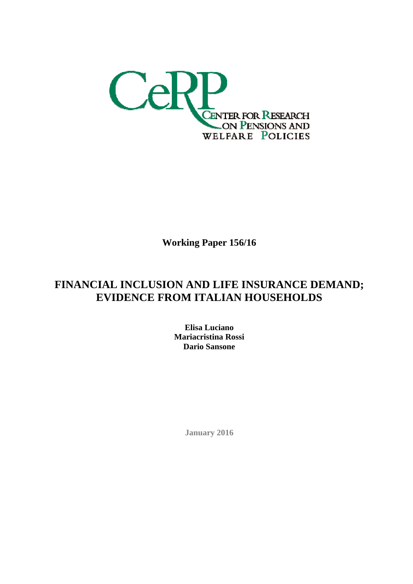

**Working Paper 156/16**

### **FINANCIAL INCLUSION AND LIFE INSURANCE DEMAND; EVIDENCE FROM ITALIAN HOUSEHOLDS**

**Elisa Luciano Mariacristina Rossi Dario Sansone** 

**January 2016**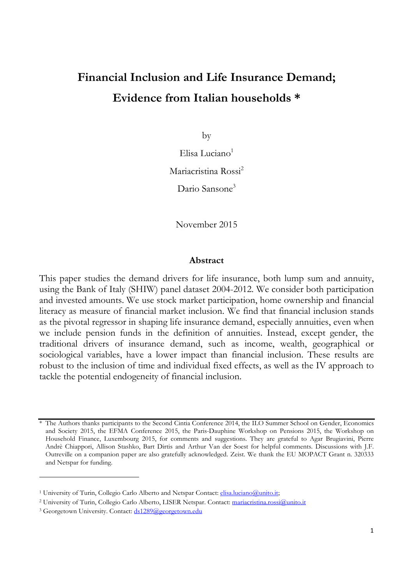# **Financial Inclusion and Life Insurance Demand; Evidence from Italian households \***

by

Elisa Luciano<sup>1</sup>

Mariacristina Rossi<sup>2</sup>

Dario Sansone<sup>3</sup>

November 2015

#### **Abstract**

This paper studies the demand drivers for life insurance, both lump sum and annuity, using the Bank of Italy (SHIW) panel dataset 2004-2012. We consider both participation and invested amounts. We use stock market participation, home ownership and financial literacy as measure of financial market inclusion. We find that financial inclusion stands as the pivotal regressor in shaping life insurance demand, especially annuities, even when we include pension funds in the definition of annuities. Instead, except gender, the traditional drivers of insurance demand, such as income, wealth, geographical or sociological variables, have a lower impact than financial inclusion. These results are robust to the inclusion of time and individual fixed effects, as well as the IV approach to tackle the potential endogeneity of financial inclusion.

<sup>\*</sup> The Authors thanks participants to the Second Cintia Conference 2014, the ILO Summer School on Gender, Economics and Society 2015, the EFMA Conference 2015, the Paris-Dauphine Workshop on Pensions 2015, the Workshop on Household Finance, Luxembourg 2015, for comments and suggestions. They are grateful to Agar Brugiavini, Pierre Andrè Chiappori, Allison Stashko, Bart Dirtis and Arthur Van der Soest for helpful comments. Discussions with J.F. Outreville on a companion paper are also gratefully acknowledged. Zeist. We thank the EU MOPACT Grant n. 320333 and Netspar for funding.

<sup>&</sup>lt;sup>1</sup> University of Turin, Collegio Carlo Alberto and Netspar Contact: **elisa.luciano@unito.it;** 

<sup>&</sup>lt;sup>2</sup> University of Turin, Collegio Carlo Alberto, LISER Netspar. Contact: <u>mariacristina.rossi@unito.it</u>

<sup>&</sup>lt;sup>3</sup> Georgetown University. Contact: **ds1289@georgetown.edu**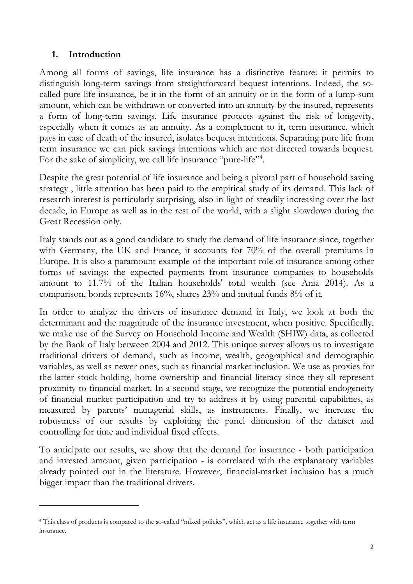#### **1. Introduction**

l

Among all forms of savings, life insurance has a distinctive feature: it permits to distinguish long-term savings from straightforward bequest intentions. Indeed, the socalled pure life insurance, be it in the form of an annuity or in the form of a lump-sum amount, which can be withdrawn or converted into an annuity by the insured, represents a form of long-term savings. Life insurance protects against the risk of longevity, especially when it comes as an annuity. As a complement to it, term insurance, which pays in case of death of the insured, isolates bequest intentions. Separating pure life from term insurance we can pick savings intentions which are not directed towards bequest. For the sake of simplicity, we call life insurance "pure-life"<sup>4</sup>.

Despite the great potential of life insurance and being a pivotal part of household saving strategy , little attention has been paid to the empirical study of its demand. This lack of research interest is particularly surprising, also in light of steadily increasing over the last decade, in Europe as well as in the rest of the world, with a slight slowdown during the Great Recession only.

Italy stands out as a good candidate to study the demand of life insurance since, together with Germany, the UK and France, it accounts for 70% of the overall premiums in Europe. It is also a paramount example of the important role of insurance among other forms of savings: the expected payments from insurance companies to households amount to 11.7% of the Italian households' total wealth (see Ania 2014). As a comparison, bonds represents 16%, shares 23% and mutual funds 8% of it.

In order to analyze the drivers of insurance demand in Italy, we look at both the determinant and the magnitude of the insurance investment, when positive. Specifically, we make use of the Survey on Household Income and Wealth (SHIW) data, as collected by the Bank of Italy between 2004 and 2012. This unique survey allows us to investigate traditional drivers of demand, such as income, wealth, geographical and demographic variables, as well as newer ones, such as financial market inclusion. We use as proxies for the latter stock holding, home ownership and financial literacy since they all represent proximity to financial market. In a second stage, we recognize the potential endogeneity of financial market participation and try to address it by using parental capabilities, as measured by parents' managerial skills, as instruments. Finally, we increase the robustness of our results by exploiting the panel dimension of the dataset and controlling for time and individual fixed effects.

To anticipate our results, we show that the demand for insurance - both participation and invested amount, given participation - is correlated with the explanatory variables already pointed out in the literature. However, financial-market inclusion has a much bigger impact than the traditional drivers.

<sup>4</sup> This class of products is compared to the so-called "mixed policies", which act as a life insurance together with term insurance.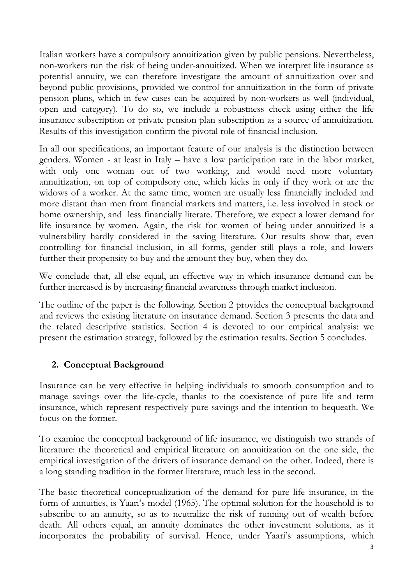Italian workers have a compulsory annuitization given by public pensions. Nevertheless, non-workers run the risk of being under-annuitized. When we interpret life insurance as potential annuity, we can therefore investigate the amount of annuitization over and beyond public provisions, provided we control for annuitization in the form of private pension plans, which in few cases can be acquired by non-workers as well (individual, open and category). To do so, we include a robustness check using either the life insurance subscription or private pension plan subscription as a source of annuitization. Results of this investigation confirm the pivotal role of financial inclusion.

In all our specifications, an important feature of our analysis is the distinction between genders. Women - at least in Italy – have a low participation rate in the labor market, with only one woman out of two working, and would need more voluntary annuitization, on top of compulsory one, which kicks in only if they work or are the widows of a worker. At the same time, women are usually less financially included and more distant than men from financial markets and matters, i.e. less involved in stock or home ownership, and less financially literate. Therefore, we expect a lower demand for life insurance by women. Again, the risk for women of being under annuitized is a vulnerability hardly considered in the saving literature. Our results show that, even controlling for financial inclusion, in all forms, gender still plays a role, and lowers further their propensity to buy and the amount they buy, when they do.

We conclude that, all else equal, an effective way in which insurance demand can be further increased is by increasing financial awareness through market inclusion.

The outline of the paper is the following. Section 2 provides the conceptual background and reviews the existing literature on insurance demand. Section 3 presents the data and the related descriptive statistics. Section 4 is devoted to our empirical analysis: we present the estimation strategy, followed by the estimation results. Section 5 concludes.

### **2. Conceptual Background**

Insurance can be very effective in helping individuals to smooth consumption and to manage savings over the life-cycle, thanks to the coexistence of pure life and term insurance, which represent respectively pure savings and the intention to bequeath. We focus on the former.

To examine the conceptual background of life insurance, we distinguish two strands of literature: the theoretical and empirical literature on annuitization on the one side, the empirical investigation of the drivers of insurance demand on the other. Indeed, there is a long standing tradition in the former literature, much less in the second.

The basic theoretical conceptualization of the demand for pure life insurance, in the form of annuities, is Yaari's model (1965). The optimal solution for the household is to subscribe to an annuity, so as to neutralize the risk of running out of wealth before death. All others equal, an annuity dominates the other investment solutions, as it incorporates the probability of survival. Hence, under Yaari's assumptions, which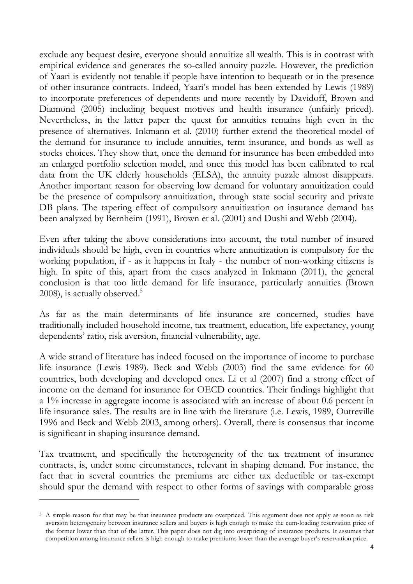exclude any bequest desire, everyone should annuitize all wealth. This is in contrast with empirical evidence and generates the so-called annuity puzzle. However, the prediction of Yaari is evidently not tenable if people have intention to bequeath or in the presence of other insurance contracts. Indeed, Yaari's model has been extended by Lewis (1989) to incorporate preferences of dependents and more recently by Davidoff, Brown and Diamond (2005) including bequest motives and health insurance (unfairly priced). Nevertheless, in the latter paper the quest for annuities remains high even in the presence of alternatives. Inkmann et al. (2010) further extend the theoretical model of the demand for insurance to include annuities, term insurance, and bonds as well as stocks choices. They show that, once the demand for insurance has been embedded into an enlarged portfolio selection model, and once this model has been calibrated to real data from the UK elderly households (ELSA), the annuity puzzle almost disappears. Another important reason for observing low demand for voluntary annuitization could be the presence of compulsory annuitization, through state social security and private DB plans. The tapering effect of compulsory annuitization on insurance demand has been analyzed by Bernheim (1991), Brown et al. (2001) and Dushi and Webb (2004).

Even after taking the above considerations into account, the total number of insured individuals should be high, even in countries where annuitization is compulsory for the working population, if - as it happens in Italy - the number of non-working citizens is high. In spite of this, apart from the cases analyzed in Inkmann (2011), the general conclusion is that too little demand for life insurance, particularly annuities (Brown 2008), is actually observed. $5$ 

As far as the main determinants of life insurance are concerned, studies have traditionally included household income, tax treatment, education, life expectancy, young dependents' ratio, risk aversion, financial vulnerability, age.

A wide strand of literature has indeed focused on the importance of income to purchase life insurance (Lewis 1989). Beck and Webb (2003) find the same evidence for 60 countries, both developing and developed ones. Li et al (2007) find a strong effect of income on the demand for insurance for OECD countries. Their findings highlight that a 1% increase in aggregate income is associated with an increase of about 0.6 percent in life insurance sales. The results are in line with the literature (i.e. Lewis, 1989, Outreville 1996 and Beck and Webb 2003, among others). Overall, there is consensus that income is significant in shaping insurance demand.

Tax treatment, and specifically the heterogeneity of the tax treatment of insurance contracts, is, under some circumstances, relevant in shaping demand. For instance, the fact that in several countries the premiums are either tax deductible or tax-exempt should spur the demand with respect to other forms of savings with comparable gross

<sup>&</sup>lt;sup>5</sup> A simple reason for that may be that insurance products are overpriced. This argument does not apply as soon as risk aversion heterogeneity between insurance sellers and buyers is high enough to make the cum-loading reservation price of the former lower than that of the latter. This paper does not dig into overpricing of insurance products. It assumes that competition among insurance sellers is high enough to make premiums lower than the average buyer's reservation price.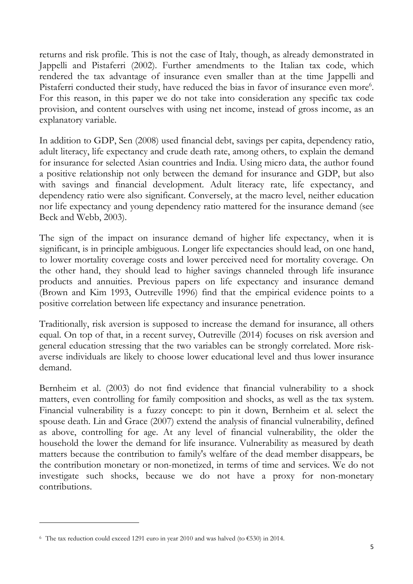returns and risk profile. This is not the case of Italy, though, as already demonstrated in Jappelli and Pistaferri (2002). Further amendments to the Italian tax code, which rendered the tax advantage of insurance even smaller than at the time Jappelli and Pistaferri conducted their study, have reduced the bias in favor of insurance even more<sup>6</sup>. For this reason, in this paper we do not take into consideration any specific tax code provision, and content ourselves with using net income, instead of gross income, as an explanatory variable.

In addition to GDP, Sen (2008) used financial debt, savings per capita, dependency ratio, adult literacy, life expectancy and crude death rate, among others, to explain the demand for insurance for selected Asian countries and India. Using micro data, the author found a positive relationship not only between the demand for insurance and GDP, but also with savings and financial development. Adult literacy rate, life expectancy, and dependency ratio were also significant. Conversely, at the macro level, neither education nor life expectancy and young dependency ratio mattered for the insurance demand (see Beck and Webb, 2003).

The sign of the impact on insurance demand of higher life expectancy, when it is significant, is in principle ambiguous. Longer life expectancies should lead, on one hand, to lower mortality coverage costs and lower perceived need for mortality coverage. On the other hand, they should lead to higher savings channeled through life insurance products and annuities. Previous papers on life expectancy and insurance demand (Brown and Kim 1993, Outreville 1996) find that the empirical evidence points to a positive correlation between life expectancy and insurance penetration.

Traditionally, risk aversion is supposed to increase the demand for insurance, all others equal. On top of that, in a recent survey, Outreville (2014) focuses on risk aversion and general education stressing that the two variables can be strongly correlated. More riskaverse individuals are likely to choose lower educational level and thus lower insurance demand.

Bernheim et al. (2003) do not find evidence that financial vulnerability to a shock matters, even controlling for family composition and shocks, as well as the tax system. Financial vulnerability is a fuzzy concept: to pin it down, Bernheim et al. select the spouse death. Lin and Grace (2007) extend the analysis of financial vulnerability, defined as above, controlling for age. At any level of financial vulnerability, the older the household the lower the demand for life insurance. Vulnerability as measured by death matters because the contribution to family's welfare of the dead member disappears, be the contribution monetary or non-monetized, in terms of time and services. We do not investigate such shocks, because we do not have a proxy for non-monetary contributions.

<sup>&</sup>lt;sup>6</sup> The tax reduction could exceed 1291 euro in year 2010 and was halved (to  $\epsilon$ 530) in 2014.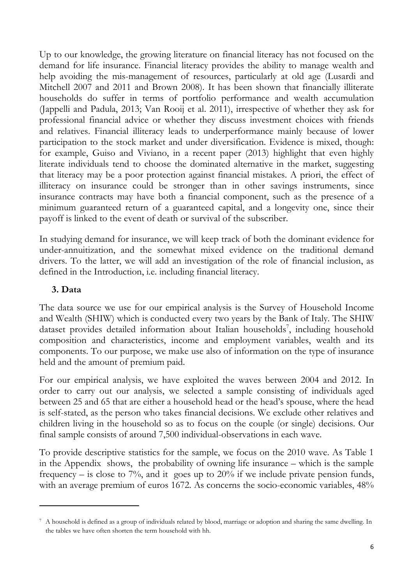Up to our knowledge, the growing literature on financial literacy has not focused on the demand for life insurance. Financial literacy provides the ability to manage wealth and help avoiding the mis-management of resources, particularly at old age (Lusardi and Mitchell 2007 and 2011 and Brown 2008). It has been shown that financially illiterate households do suffer in terms of portfolio performance and wealth accumulation (Jappelli and Padula, 2013; Van Rooij et al. 2011), irrespective of whether they ask for professional financial advice or whether they discuss investment choices with friends and relatives. Financial illiteracy leads to underperformance mainly because of lower participation to the stock market and under diversification. Evidence is mixed, though: for example, Guiso and Viviano, in a recent paper (2013) highlight that even highly literate individuals tend to choose the dominated alternative in the market, suggesting that literacy may be a poor protection against financial mistakes. A priori, the effect of illiteracy on insurance could be stronger than in other savings instruments, since insurance contracts may have both a financial component, such as the presence of a minimum guaranteed return of a guaranteed capital, and a longevity one, since their payoff is linked to the event of death or survival of the subscriber.

In studying demand for insurance, we will keep track of both the dominant evidence for under-annuitization, and the somewhat mixed evidence on the traditional demand drivers. To the latter, we will add an investigation of the role of financial inclusion, as defined in the Introduction, i.e. including financial literacy.

#### **3. Data**

l

The data source we use for our empirical analysis is the Survey of Household Income and Wealth (SHIW) which is conducted every two years by the Bank of Italy. The SHIW dataset provides detailed information about Italian households<sup>7</sup>, including household composition and characteristics, income and employment variables, wealth and its components. To our purpose, we make use also of information on the type of insurance held and the amount of premium paid.

For our empirical analysis, we have exploited the waves between 2004 and 2012. In order to carry out our analysis, we selected a sample consisting of individuals aged between 25 and 65 that are either a household head or the head's spouse, where the head is self-stated, as the person who takes financial decisions. We exclude other relatives and children living in the household so as to focus on the couple (or single) decisions. Our final sample consists of around 7,500 individual-observations in each wave.

To provide descriptive statistics for the sample, we focus on the 2010 wave. As Table 1 in the Appendix shows, the probability of owning life insurance – which is the sample frequency – is close to 7%, and it goes up to 20% if we include private pension funds, with an average premium of euros 1672. As concerns the socio-economic variables, 48%

<sup>7</sup> A household is defined as a group of individuals related by blood, marriage or adoption and sharing the same dwelling. In the tables we have often shorten the term household with hh.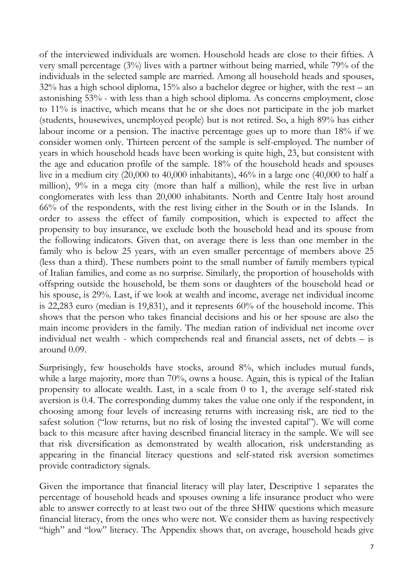of the interviewed individuals are women. Household heads are close to their fifties. A very small percentage (3%) lives with a partner without being married, while 79% of the individuals in the selected sample are married. Among all household heads and spouses, 32% has a high school diploma, 15% also a bachelor degree or higher, with the rest – an astonishing 53% - with less than a high school diploma. As concerns employment, close to 11% is inactive, which means that he or she does not participate in the job market (students, housewives, unemployed people) but is not retired. So, a high 89% has either labour income or a pension. The inactive percentage goes up to more than 18% if we consider women only. Thirteen percent of the sample is self-employed. The number of years in which household heads have been working is quite high, 23, but consistent with the age and education profile of the sample. 18% of the household heads and spouses live in a medium city (20,000 to 40,000 inhabitants), 46% in a large one (40,000 to half a million), 9% in a mega city (more than half a million), while the rest live in urban conglomerates with less than 20,000 inhabitants. North and Centre Italy host around 66% of the respondents, with the rest living either in the South or in the Islands. In order to assess the effect of family composition, which is expected to affect the propensity to buy insurance, we exclude both the household head and its spouse from the following indicators. Given that, on average there is less than one member in the family who is below 25 years, with an even smaller percentage of members above 25 (less than a third). These numbers point to the small number of family members typical of Italian families, and come as no surprise. Similarly, the proportion of households with offspring outside the household, be them sons or daughters of the household head or his spouse, is 29%. Last, if we look at wealth and income, average net individual income is 22,283 euro (median is 19,831), and it represents 60% of the household income. This shows that the person who takes financial decisions and his or her spouse are also the main income providers in the family. The median ration of individual net income over individual net wealth - which comprehends real and financial assets, net of debts – is around 0.09.

Surprisingly, few households have stocks, around 8%, which includes mutual funds, while a large majority, more than 70%, owns a house. Again, this is typical of the Italian propensity to allocate wealth. Last, in a scale from 0 to 1, the average self-stated risk aversion is 0.4. The corresponding dummy takes the value one only if the respondent, in choosing among four levels of increasing returns with increasing risk, are tied to the safest solution ("low returns, but no risk of losing the invested capital"). We will come back to this measure after having described financial literacy in the sample. We will see that risk diversification as demonstrated by wealth allocation, risk understanding as appearing in the financial literacy questions and self-stated risk aversion sometimes provide contradictory signals.

Given the importance that financial literacy will play later, Descriptive 1 separates the percentage of household heads and spouses owning a life insurance product who were able to answer correctly to at least two out of the three SHIW questions which measure financial literacy, from the ones who were not. We consider them as having respectively "high" and "low" literacy. The Appendix shows that, on average, household heads give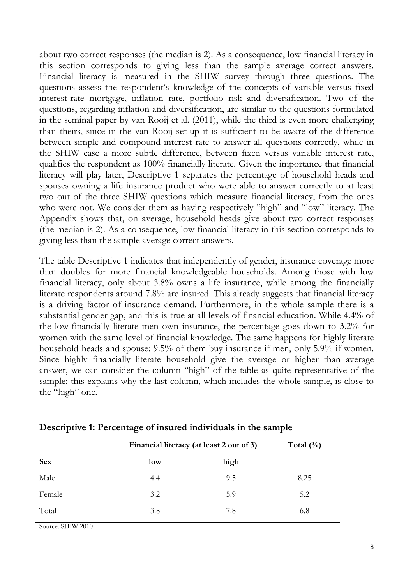about two correct responses (the median is 2). As a consequence, low financial literacy in this section corresponds to giving less than the sample average correct answers. Financial literacy is measured in the SHIW survey through three questions. The questions assess the respondent's knowledge of the concepts of variable versus fixed interest-rate mortgage, inflation rate, portfolio risk and diversification. Two of the questions, regarding inflation and diversification, are similar to the questions formulated in the seminal paper by van Rooij et al. (2011), while the third is even more challenging than theirs, since in the van Rooij set-up it is sufficient to be aware of the difference between simple and compound interest rate to answer all questions correctly, while in the SHIW case a more subtle difference, between fixed versus variable interest rate, qualifies the respondent as 100% financially literate. Given the importance that financial literacy will play later, Descriptive 1 separates the percentage of household heads and spouses owning a life insurance product who were able to answer correctly to at least two out of the three SHIW questions which measure financial literacy, from the ones who were not. We consider them as having respectively "high" and "low" literacy. The Appendix shows that, on average, household heads give about two correct responses (the median is 2). As a consequence, low financial literacy in this section corresponds to giving less than the sample average correct answers.

The table Descriptive 1 indicates that independently of gender, insurance coverage more than doubles for more financial knowledgeable households. Among those with low financial literacy, only about 3.8% owns a life insurance, while among the financially literate respondents around 7.8% are insured. This already suggests that financial literacy is a driving factor of insurance demand. Furthermore, in the whole sample there is a substantial gender gap, and this is true at all levels of financial education. While 4.4% of the low-financially literate men own insurance, the percentage goes down to 3.2% for women with the same level of financial knowledge. The same happens for highly literate household heads and spouse: 9.5% of them buy insurance if men, only 5.9% if women. Since highly financially literate household give the average or higher than average answer, we can consider the column "high" of the table as quite representative of the sample: this explains why the last column, which includes the whole sample, is close to the "high" one.

| low | high |      |
|-----|------|------|
|     |      |      |
| 4.4 | 9.5  | 8.25 |
| 3.2 | 5.9  | 5.2  |
| 3.8 | 7.8  | 6.8  |
|     |      |      |

Source: SHIW 2010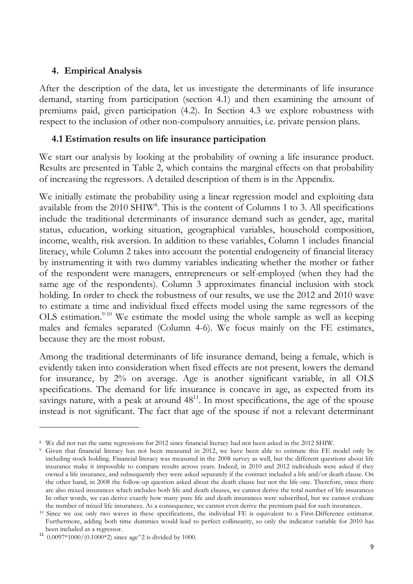#### **4. Empirical Analysis**

After the description of the data, let us investigate the determinants of life insurance demand, starting from participation (section 4.1) and then examining the amount of premiums paid, given participation (4.2). In Section 4.3 we explore robustness with respect to the inclusion of other non-compulsory annuities, i.e. private pension plans.

#### **4.1 Estimation results on life insurance participation**

We start our analysis by looking at the probability of owning a life insurance product. Results are presented in Table 2, which contains the marginal effects on that probability of increasing the regressors. A detailed description of them is in the Appendix.

We initially estimate the probability using a linear regression model and exploiting data available from the 2010 SHIW<sup>8</sup>. This is the content of Columns 1 to 3. All specifications include the traditional determinants of insurance demand such as gender, age, marital status, education, working situation, geographical variables, household composition, income, wealth, risk aversion. In addition to these variables, Column 1 includes financial literacy, while Column 2 takes into account the potential endogeneity of financial literacy by instrumenting it with two dummy variables indicating whether the mother or father of the respondent were managers, entrepreneurs or self-employed (when they had the same age of the respondents). Column 3 approximates financial inclusion with stock holding. In order to check the robustness of our results, we use the 2012 and 2010 wave to estimate a time and individual fixed effects model using the same regressors of the OLS estimation.<sup>9-10</sup> We estimate the model using the whole sample as well as keeping males and females separated (Column 4-6). We focus mainly on the FE estimates, because they are the most robust.

Among the traditional determinants of life insurance demand, being a female, which is evidently taken into consideration when fixed effects are not present, lowers the demand for insurance, by 2% on average. Age is another significant variable, in all OLS specifications. The demand for life insurance is concave in age, as expected from its savings nature, with a peak at around  $48<sup>11</sup>$ . In most specifications, the age of the spouse instead is not significant. The fact that age of the spouse if not a relevant determinant

<sup>8</sup> We did not run the same regressions for 2012 since financial literacy had not been asked in the 2012 SHIW.

<sup>9</sup> Given that financial literacy has not been measured in 2012, we have been able to estimate this FE model only by including stock holding. Financial literacy was measured in the 2008 survey as well, but the different questions about life insurance make it impossible to compare results across years. Indeed, in 2010 and 2012 individuals were asked if they owned a life insurance, and subsequently they were asked separately if the contract included a life and/or death clause. On the other hand, in 2008 the follow-up question asked about the death clause but not the life one. Therefore, since there are also mixed insurances which includes both life and death clauses, we cannot derive the total number of life insurances In other words, we can derive exactly how many pure life and death insurances were subscribed, but we cannot evaluate the number of mixed life insurances. As a consequence, we cannot even derive the premium paid for such insurances.

<sup>10</sup> Since we use only two waves in these specifications, the individual FE is equivalent to a First-Difference estimator. Furthermore, adding both time dummies would lead to perfect collinearity, so only the indicator variable for 2010 has been included as a regressor.

<sup>&</sup>lt;sup>11</sup> 0.0097\*1000/(0.1000\*2) since age^2 is divided by 1000.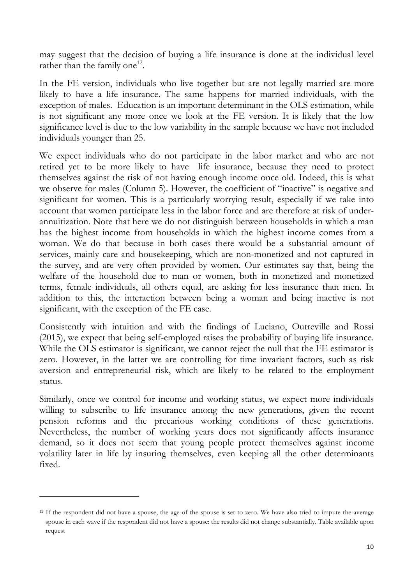may suggest that the decision of buying a life insurance is done at the individual level rather than the family one<sup>12</sup>.

In the FE version, individuals who live together but are not legally married are more likely to have a life insurance. The same happens for married individuals, with the exception of males. Education is an important determinant in the OLS estimation, while is not significant any more once we look at the FE version. It is likely that the low significance level is due to the low variability in the sample because we have not included individuals younger than 25.

We expect individuals who do not participate in the labor market and who are not retired yet to be more likely to have life insurance, because they need to protect themselves against the risk of not having enough income once old. Indeed, this is what we observe for males (Column 5). However, the coefficient of "inactive" is negative and significant for women. This is a particularly worrying result, especially if we take into account that women participate less in the labor force and are therefore at risk of underannuitization. Note that here we do not distinguish between households in which a man has the highest income from households in which the highest income comes from a woman. We do that because in both cases there would be a substantial amount of services, mainly care and housekeeping, which are non-monetized and not captured in the survey, and are very often provided by women. Our estimates say that, being the welfare of the household due to man or women, both in monetized and monetized terms, female individuals, all others equal, are asking for less insurance than men. In addition to this, the interaction between being a woman and being inactive is not significant, with the exception of the FE case.

Consistently with intuition and with the findings of Luciano, Outreville and Rossi (2015), we expect that being self-employed raises the probability of buying life insurance. While the OLS estimator is significant, we cannot reject the null that the FE estimator is zero. However, in the latter we are controlling for time invariant factors, such as risk aversion and entrepreneurial risk, which are likely to be related to the employment status.

Similarly, once we control for income and working status, we expect more individuals willing to subscribe to life insurance among the new generations, given the recent pension reforms and the precarious working conditions of these generations. Nevertheless, the number of working years does not significantly affects insurance demand, so it does not seem that young people protect themselves against income volatility later in life by insuring themselves, even keeping all the other determinants fixed.

<sup>&</sup>lt;sup>12</sup> If the respondent did not have a spouse, the age of the spouse is set to zero. We have also tried to impute the average spouse in each wave if the respondent did not have a spouse: the results did not change substantially. Table available upon request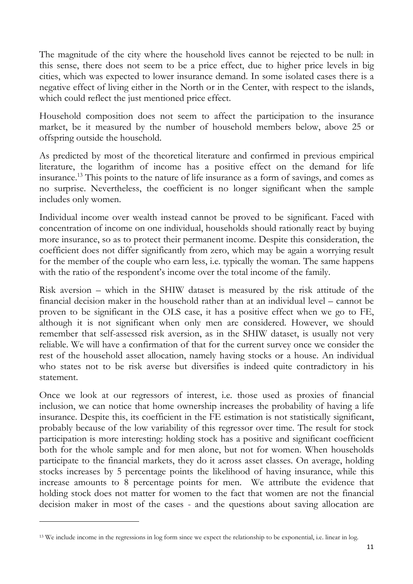The magnitude of the city where the household lives cannot be rejected to be null: in this sense, there does not seem to be a price effect, due to higher price levels in big cities, which was expected to lower insurance demand. In some isolated cases there is a negative effect of living either in the North or in the Center, with respect to the islands, which could reflect the just mentioned price effect.

Household composition does not seem to affect the participation to the insurance market, be it measured by the number of household members below, above 25 or offspring outside the household.

As predicted by most of the theoretical literature and confirmed in previous empirical literature, the logarithm of income has a positive effect on the demand for life insurance.<sup>13</sup> This points to the nature of life insurance as a form of savings, and comes as no surprise. Nevertheless, the coefficient is no longer significant when the sample includes only women.

Individual income over wealth instead cannot be proved to be significant. Faced with concentration of income on one individual, households should rationally react by buying more insurance, so as to protect their permanent income. Despite this consideration, the coefficient does not differ significantly from zero, which may be again a worrying result for the member of the couple who earn less, i.e. typically the woman. The same happens with the ratio of the respondent's income over the total income of the family.

Risk aversion – which in the SHIW dataset is measured by the risk attitude of the financial decision maker in the household rather than at an individual level – cannot be proven to be significant in the OLS case, it has a positive effect when we go to FE, although it is not significant when only men are considered. However, we should remember that self-assessed risk aversion, as in the SHIW dataset, is usually not very reliable. We will have a confirmation of that for the current survey once we consider the rest of the household asset allocation, namely having stocks or a house. An individual who states not to be risk averse but diversifies is indeed quite contradictory in his statement.

Once we look at our regressors of interest, i.e. those used as proxies of financial inclusion, we can notice that home ownership increases the probability of having a life insurance. Despite this, its coefficient in the FE estimation is not statistically significant, probably because of the low variability of this regressor over time. The result for stock participation is more interesting: holding stock has a positive and significant coefficient both for the whole sample and for men alone, but not for women. When households participate to the financial markets, they do it across asset classes. On average, holding stocks increases by 5 percentage points the likelihood of having insurance, while this increase amounts to 8 percentage points for men. We attribute the evidence that holding stock does not matter for women to the fact that women are not the financial decision maker in most of the cases - and the questions about saving allocation are

l

<sup>&</sup>lt;sup>13</sup> We include income in the regressions in log form since we expect the relationship to be exponential, i.e. linear in log.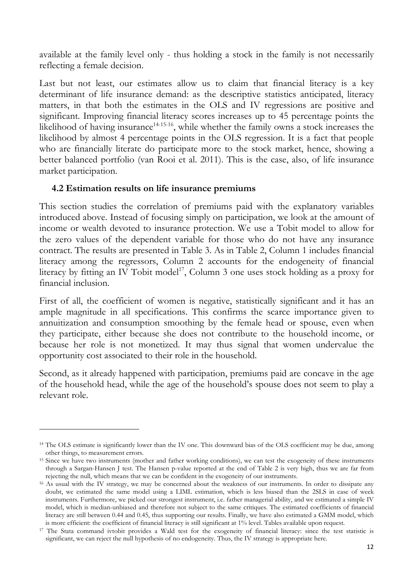available at the family level only - thus holding a stock in the family is not necessarily reflecting a female decision.

Last but not least, our estimates allow us to claim that financial literacy is a key determinant of life insurance demand: as the descriptive statistics anticipated, literacy matters, in that both the estimates in the OLS and IV regressions are positive and significant. Improving financial literacy scores increases up to 45 percentage points the likelihood of having insurance<sup>14-15-16</sup>, while whether the family owns a stock increases the likelihood by almost 4 percentage points in the OLS regression. It is a fact that people who are financially literate do participate more to the stock market, hence, showing a better balanced portfolio (van Rooi et al. 2011). This is the case, also, of life insurance market participation.

#### **4.2 Estimation results on life insurance premiums**

 $\overline{a}$ 

This section studies the correlation of premiums paid with the explanatory variables introduced above. Instead of focusing simply on participation, we look at the amount of income or wealth devoted to insurance protection. We use a Tobit model to allow for the zero values of the dependent variable for those who do not have any insurance contract. The results are presented in Table 3. As in Table 2, Column 1 includes financial literacy among the regressors, Column 2 accounts for the endogeneity of financial literacy by fitting an IV Tobit model<sup>17</sup>, Column 3 one uses stock holding as a proxy for financial inclusion.

First of all, the coefficient of women is negative, statistically significant and it has an ample magnitude in all specifications. This confirms the scarce importance given to annuitization and consumption smoothing by the female head or spouse, even when they participate, either because she does not contribute to the household income, or because her role is not monetized. It may thus signal that women undervalue the opportunity cost associated to their role in the household.

Second, as it already happened with participation, premiums paid are concave in the age of the household head, while the age of the household's spouse does not seem to play a relevant role.

<sup>&</sup>lt;sup>14</sup> The OLS estimate is significantly lower than the IV one. This downward bias of the OLS coefficient may be due, among other things, to measurement errors.

<sup>&</sup>lt;sup>15</sup> Since we have two instruments (mother and father working conditions), we can test the exogeneity of these instruments through a Sargan-Hansen J test. The Hansen p-value reported at the end of Table 2 is very high, thus we are far from rejecting the null, which means that we can be confident in the exogeneity of our instruments.

<sup>&</sup>lt;sup>16</sup> As usual with the IV strategy, we may be concerned about the weakness of our instruments. In order to dissipate any doubt, we estimated the same model using a LIML estimation, which is less biased than the 2SLS in case of week instruments. Furthermore, we picked our strongest instrument, i.e. father managerial ability, and we estimated a simple IV model, which is median-unbiased and therefore not subject to the same critiques. The estimated coefficients of financial literacy are still between 0.44 and 0.45, thus supporting our results. Finally, we have also estimated a GMM model, which is more efficient: the coefficient of financial literacy is still significant at 1% level. Tables available upon request.

<sup>&</sup>lt;sup>17</sup> The Stata command ivtobit provides a Wald test for the exogeneity of financial literacy: since the test statistic is significant, we can reject the null hypothesis of no endogeneity. Thus, the IV strategy is appropriate here.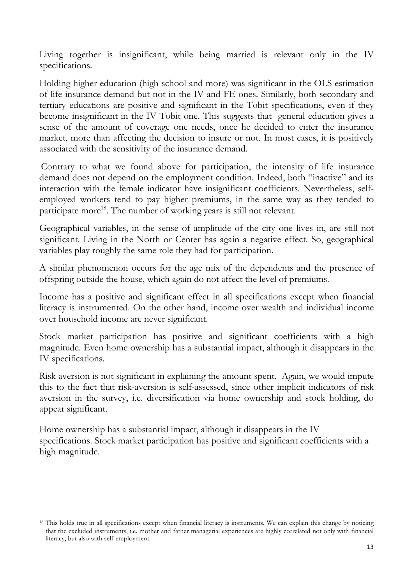Living together is insignificant, while being married is relevant only in the IV specifications.

Holding higher education (high school and more) was significant in the OLS estimation of life insurance demand but not in the IV and FE ones. Similarly, both secondary and tertiary educations are positive and significant in the Tobit specifications, even if they become insignificant in the IV Tobit one. This suggests that general education gives a sense of the amount of coverage one needs, once he decided to enter the insurance market, more than affecting the decision to insure or not. In most cases, it is positively associated with the sensitivity of the insurance demand.

Contrary to what we found above for participation, the intensity of life insurance demand does not depend on the employment condition. Indeed, both "inactive" and its interaction with the female indicator have insignificant coefficients. Nevertheless, selfemployed workers tend to pay higher premiums, in the same way as they tended to participate more<sup>18</sup>. The number of working years is still not relevant.

Geographical variables, in the sense of amplitude of the city one lives in, are still not significant. Living in the North or Center has again a negative effect. So, geographical variables play roughly the same role they had for participation.

A similar phenomenon occurs for the age mix of the dependents and the presence of offspring outside the house, which again do not affect the level of premiums.

Income has a positive and significant effect in all specifications except when financial literacy is instrumented. On the other hand, income over wealth and individual income over household income are never significant.

Stock market participation has positive and significant coefficients with a high magnitude. Even home ownership has a substantial impact, although it disappears in the IV specifications.

Risk aversion is not significant in explaining the amount spent. Again, we would impute this to the fact that risk-aversion is self-assessed, since other implicit indicators of risk aversion in the survey, i.e. diversification via home ownership and stock holding, do appear significant.

Home ownership has a substantial impact, although it disappears in the IV specifications. Stock market participation has positive and significant coefficients with a high magnitude.

l

<sup>&</sup>lt;sup>18</sup> This holds true in all specifications except when financial literacy is instruments. We can explain this change by noticing that the excluded instruments, i.e. mother and father managerial experiences are highly correlated not only with financial literacy, but also with self-employment.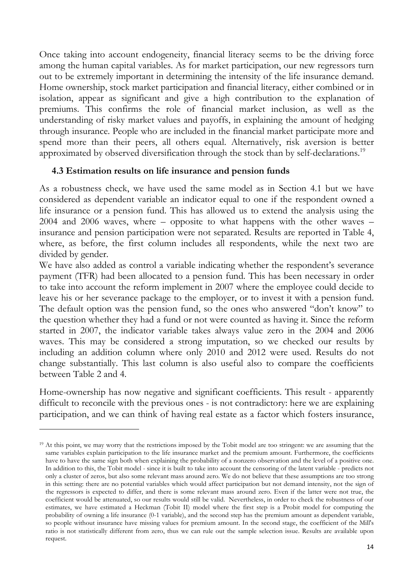Once taking into account endogeneity, financial literacy seems to be the driving force among the human capital variables. As for market participation, our new regressors turn out to be extremely important in determining the intensity of the life insurance demand. Home ownership, stock market participation and financial literacy, either combined or in isolation, appear as significant and give a high contribution to the explanation of premiums. This confirms the role of financial market inclusion, as well as the understanding of risky market values and payoffs, in explaining the amount of hedging through insurance. People who are included in the financial market participate more and spend more than their peers, all others equal. Alternatively, risk aversion is better approximated by observed diversification through the stock than by self-declarations.<sup>19</sup>

#### **4.3 Estimation results on life insurance and pension funds**

As a robustness check, we have used the same model as in Section 4.1 but we have considered as dependent variable an indicator equal to one if the respondent owned a life insurance or a pension fund. This has allowed us to extend the analysis using the 2004 and 2006 waves, where – opposite to what happens with the other waves – insurance and pension participation were not separated. Results are reported in Table 4, where, as before, the first column includes all respondents, while the next two are divided by gender.

We have also added as control a variable indicating whether the respondent's severance payment (TFR) had been allocated to a pension fund. This has been necessary in order to take into account the reform implement in 2007 where the employee could decide to leave his or her severance package to the employer, or to invest it with a pension fund. The default option was the pension fund, so the ones who answered "don't know" to the question whether they had a fund or not were counted as having it. Since the reform started in 2007, the indicator variable takes always value zero in the 2004 and 2006 waves. This may be considered a strong imputation, so we checked our results by including an addition column where only 2010 and 2012 were used. Results do not change substantially. This last column is also useful also to compare the coefficients between Table 2 and 4.

Home-ownership has now negative and significant coefficients. This result - apparently difficult to reconcile with the previous ones - is not contradictory: here we are explaining participation, and we can think of having real estate as a factor which fosters insurance,

<sup>&</sup>lt;sup>19</sup> At this point, we may worry that the restrictions imposed by the Tobit model are too stringent: we are assuming that the same variables explain participation to the life insurance market and the premium amount. Furthermore, the coefficients have to have the same sign both when explaining the probability of a nonzero observation and the level of a positive one. In addition to this, the Tobit model - since it is built to take into account the censoring of the latent variable - predicts not only a cluster of zeros, but also some relevant mass around zero. We do not believe that these assumptions are too strong in this setting: there are no potential variables which would affect participation but not demand intensity, not the sign of the regressors is expected to differ, and there is some relevant mass around zero. Even if the latter were not true, the coefficient would be attenuated, so our results would still be valid. Nevertheless, in order to check the robustness of our estimates, we have estimated a Heckman (Tobit II) model where the first step is a Probit model for computing the probability of owning a life insurance (0-1 variable), and the second step has the premium amount as dependent variable, so people without insurance have missing values for premium amount. In the second stage, the coefficient of the Mill's ratio is not statistically different from zero, thus we can rule out the sample selection issue. Results are available upon request.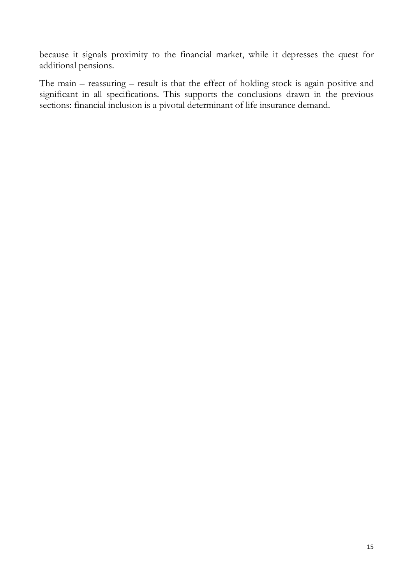because it signals proximity to the financial market, while it depresses the quest for additional pensions.

The main – reassuring – result is that the effect of holding stock is again positive and significant in all specifications. This supports the conclusions drawn in the previous sections: financial inclusion is a pivotal determinant of life insurance demand.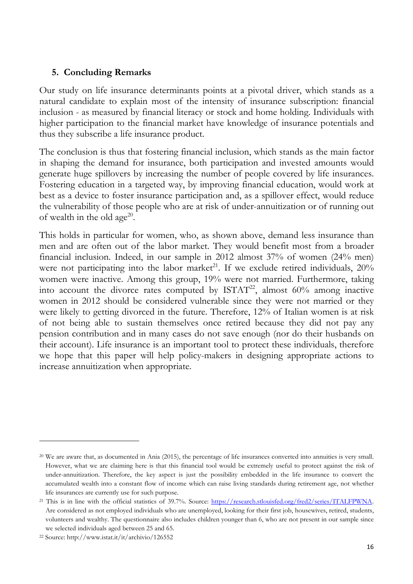#### **5. Concluding Remarks**

Our study on life insurance determinants points at a pivotal driver, which stands as a natural candidate to explain most of the intensity of insurance subscription: financial inclusion - as measured by financial literacy or stock and home holding. Individuals with higher participation to the financial market have knowledge of insurance potentials and thus they subscribe a life insurance product.

The conclusion is thus that fostering financial inclusion, which stands as the main factor in shaping the demand for insurance, both participation and invested amounts would generate huge spillovers by increasing the number of people covered by life insurances. Fostering education in a targeted way, by improving financial education, would work at best as a device to foster insurance participation and, as a spillover effect, would reduce the vulnerability of those people who are at risk of under-annuitization or of running out of wealth in the old age<sup>20</sup>.

This holds in particular for women, who, as shown above, demand less insurance than men and are often out of the labor market. They would benefit most from a broader financial inclusion. Indeed, in our sample in 2012 almost 37% of women (24% men) were not participating into the labor market<sup>21</sup>. If we exclude retired individuals,  $20\%$ women were inactive. Among this group, 19% were not married. Furthermore, taking into account the divorce rates computed by  $ISTAT^{22}$ , almost 60% among inactive women in 2012 should be considered vulnerable since they were not married or they were likely to getting divorced in the future. Therefore, 12% of Italian women is at risk of not being able to sustain themselves once retired because they did not pay any pension contribution and in many cases do not save enough (nor do their husbands on their account). Life insurance is an important tool to protect these individuals, therefore we hope that this paper will help policy-makers in designing appropriate actions to increase annuitization when appropriate.

<sup>&</sup>lt;sup>20</sup> We are aware that, as documented in Ania (2015), the percentage of life insurances converted into annuities is very small. However, what we are claiming here is that this financial tool would be extremely useful to protect against the risk of under-annuitization. Therefore, the key aspect is just the possibility embedded in the life insurance to convert the accumulated wealth into a constant flow of income which can raise living standards during retirement age, not whether life insurances are currently use for such purpose.

<sup>&</sup>lt;sup>21</sup> This is in line with the official statistics of 39.7%. Source: https://research.stlouisfed.org/fred2/series/ITALFPWNA. Are considered as not employed individuals who are unemployed, looking for their first job, housewives, retired, students, volunteers and wealthy. The questionnaire also includes children younger than 6, who are not present in our sample since we selected individuals aged between 25 and 65.

<sup>22</sup> Source: http://www.istat.it/it/archivio/126552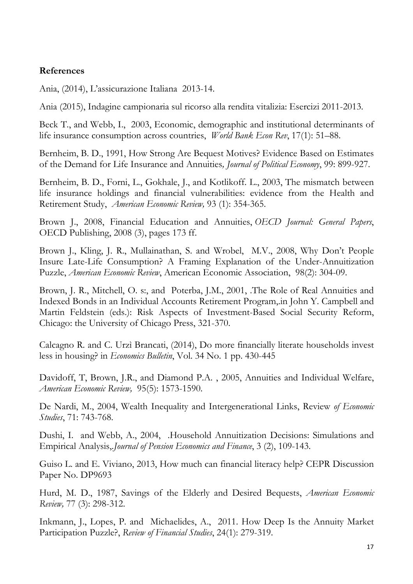#### **References**

Ania, (2014), L'assicurazione Italiana 2013-14.

Ania (2015), Indagine campionaria sul ricorso alla rendita vitalizia: Esercizi 2011-2013.

Beck T., and Webb, I., 2003, Economic, demographic and institutional determinants of life insurance consumption across countries, *World Bank Econ Rev*, 17(1): 51–88.

Bernheim, B. D., 1991, How Strong Are Bequest Motives? Evidence Based on Estimates of the Demand for Life Insurance and Annuities*, Journal of Political Economy*, 99: 899-927.

Bernheim, B. D., Forni, L., Gokhale, J., and Kotlikoff. L., 2003, The mismatch between life insurance holdings and financial vulnerabilities: evidence from the Health and Retirement Study, *American Economic Review,* 93 (1): 354-365.

Brown J., 2008, Financial Education and Annuities, *OECD Journal: General Papers*, OECD Publishing, 2008 (3), pages 173 ff.

Brown J., Kling, J. R., Mullainathan, S. and Wrobel, M.V., 2008, Why Don't People Insure Late-Life Consumption? A Framing Explanation of the Under-Annuitization Puzzle, *American Economic Review*, American Economic Association, 98(2): 304-09.

Brown, J. R., Mitchell, O. s., and Poterba, J.M., 2001, .The Role of Real Annuities and Indexed Bonds in an Individual Accounts Retirement Program,.in John Y. Campbell and Martin Feldstein (eds.): Risk Aspects of Investment-Based Social Security Reform, Chicago: the University of Chicago Press, 321-370.

Calcagno R. and C. Urzì Brancati, (2014), Do more financially literate households invest less in housing? in *Economics Bulletin*, Vol. 34 No. 1 pp. 430-445

Davidoff, T, Brown, J.R., and Diamond P.A. , 2005, Annuities and Individual Welfare, *American Economic Review,* 95(5): 1573-1590.

De Nardi, M., 2004, Wealth Inequality and Intergenerational Links, Review *of Economic Studies*, 71: 743-768.

Dushi, I. and Webb, A., 2004, .Household Annuitization Decisions: Simulations and Empirical Analysis,.*Journal of Pension Economics and Finance*, 3 (2), 109-143.

Guiso L. and E. Viviano, 2013, How much can financial literacy help? CEPR Discussion Paper No. DP9693

Hurd, M. D., 1987, Savings of the Elderly and Desired Bequests, *American Economic Review,* 77 (3): 298-312.

Inkmann, J., Lopes, P. and Michaelides, A., 2011. How Deep Is the Annuity Market Participation Puzzle?, *Review of Financial Studies*, 24(1): 279-319.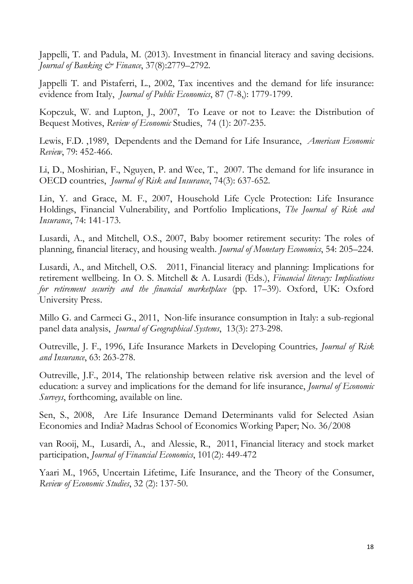Jappelli, T. and Padula, M. (2013). Investment in financial literacy and saving decisions. *Journal of Banking & Finance*, 37(8):2779–2792.

Jappelli T. and Pistaferri, L., 2002, Tax incentives and the demand for life insurance: evidence from Italy, *Journal of Public Economics*, 87 (7-8,): 1779-1799.

Kopczuk, W. and Lupton, J., 2007, To Leave or not to Leave: the Distribution of Bequest Motives, *Review of Economic* Studies, 74 (1): 207-235.

Lewis, F.D. ,1989, Dependents and the Demand for Life Insurance, *American Economic Review*, 79: 452-466.

Li, D., Moshirian, F., Nguyen, P. and Wee, T., 2007. The demand for life insurance in OECD countries, *Journal of Risk and Insurance*, 74(3): 637-652.

Lin, Y. and Grace, M. F., 2007, Household Life Cycle Protection: Life Insurance Holdings, Financial Vulnerability, and Portfolio Implications, *The Journal of Risk and Insurance*, 74: 141-173.

Lusardi, A., and Mitchell, O.S., 2007, Baby boomer retirement security: The roles of planning, financial literacy, and housing wealth. *Journal of Monetary Economics*, 54: 205–224.

Lusardi, A., and Mitchell, O.S. 2011, Financial literacy and planning: Implications for retirement wellbeing. In O. S. Mitchell & A. Lusardi (Eds.), *Financial literacy: Implications for retirement security and the financial marketplace* (pp. 17–39). Oxford, UK: Oxford University Press.

Millo G. and Carmeci G., 2011, Non-life insurance consumption in Italy: a sub-regional panel data analysis, *Journal of Geographical Systems*, 13(3): 273-298.

Outreville, J. F., 1996, Life Insurance Markets in Developing Countries*, Journal of Risk and Insurance*, 63: 263-278.

Outreville, J.F., 2014, The relationship between relative risk aversion and the level of education: a survey and implications for the demand for life insurance, *Journal of Economic Surveys*, forthcoming, available on line.

Sen, S., 2008, Are Life Insurance Demand Determinants valid for Selected Asian Economies and India? Madras School of Economics Working Paper; No. 36/2008

van Rooij, M., Lusardi, A., and Alessie, R., 2011, Financial literacy and stock market participation, *Journal of Financial Economics*, 101(2): 449-472

Yaari M., 1965, Uncertain Lifetime, Life Insurance, and the Theory of the Consumer, *Review of Economic Studies*, 32 (2): 137-50.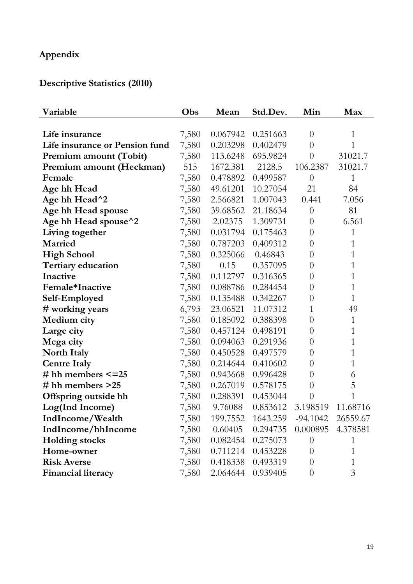### **Appendix**

## **Descriptive Statistics (2010)**

| Variable                         | Obs   | Mean     | Std.Dev. | Min            | Max      |
|----------------------------------|-------|----------|----------|----------------|----------|
|                                  |       |          |          |                |          |
| Life insurance                   | 7,580 | 0.067942 | 0.251663 | $\overline{0}$ | 1        |
| Life insurance or Pension fund   | 7,580 | 0.203298 | 0.402479 | $\theta$       | 1        |
| Premium amount (Tobit)           | 7,580 | 113.6248 | 695.9824 | $\overline{0}$ | 31021.7  |
| Premium amount (Heckman)         | 515   | 1672.381 | 2128.5   | 106.2387       | 31021.7  |
| Female                           | 7,580 | 0.478892 | 0.499587 | $\theta$       | 1        |
| Age hh Head                      | 7,580 | 49.61201 | 10.27054 | 21             | 84       |
| Age hh Head <sup>^2</sup>        | 7,580 | 2.566821 | 1.007043 | 0.441          | 7.056    |
| Age hh Head spouse               | 7,580 | 39.68562 | 21.18634 | $\overline{0}$ | 81       |
| Age hh Head spouse <sup>^2</sup> | 7,580 | 2.02375  | 1.309731 | $\theta$       | 6.561    |
| Living together                  | 7,580 | 0.031794 | 0.175463 | $\theta$       | 1        |
| Married                          | 7,580 | 0.787203 | 0.409312 | $\theta$       | 1        |
| <b>High School</b>               | 7,580 | 0.325066 | 0.46843  | $\theta$       | 1        |
| <b>Tertiary education</b>        | 7,580 | 0.15     | 0.357095 | $\overline{0}$ | 1        |
| Inactive                         | 7,580 | 0.112797 | 0.316365 | $\overline{0}$ | 1        |
| Female*Inactive                  | 7,580 | 0.088786 | 0.284454 | $\theta$       | 1        |
| Self-Employed                    | 7,580 | 0.135488 | 0.342267 | $\theta$       | 1        |
| # working years                  | 6,793 | 23.06521 | 11.07312 | 1              | 49       |
| Medium city                      | 7,580 | 0.185092 | 0.388398 | $\theta$       | 1        |
| Large city                       | 7,580 | 0.457124 | 0.498191 | $\theta$       | 1        |
| Mega city                        | 7,580 | 0.094063 | 0.291936 | $\overline{0}$ | 1        |
| <b>North Italy</b>               | 7,580 | 0.450528 | 0.497579 | $\theta$       | 1        |
| <b>Centre Italy</b>              | 7,580 | 0.214644 | 0.410602 | $\overline{0}$ | 1        |
| # hh members $\leq$ = 25         | 7,580 | 0.943668 | 0.996428 | $\overline{0}$ | 6        |
| # hh members $>25$               | 7,580 | 0.267019 | 0.578175 | $\overline{0}$ | 5        |
| Offspring outside hh             | 7,580 | 0.288391 | 0.453044 | $\overline{0}$ | 1        |
| Log(Ind Income)                  | 7,580 | 9.76088  | 0.853612 | 3.198519       | 11.68716 |
| IndIncome/Wealth                 | 7,580 | 199.7552 | 1643.259 | $-94.1042$     | 26559.67 |
| IndIncome/hhIncome               | 7,580 | 0.60405  | 0.294735 | 0.000895       | 4.378581 |
| <b>Holding stocks</b>            | 7,580 | 0.082454 | 0.275073 | $\overline{0}$ |          |
| Home-owner                       | 7,580 | 0.711214 | 0.453228 | $\overline{0}$ | 1        |
| <b>Risk Averse</b>               | 7,580 | 0.418338 | 0.493319 | $\overline{0}$ | 1        |
| <b>Financial literacy</b>        | 7,580 | 2.064644 | 0.939405 | $\theta$       | 3        |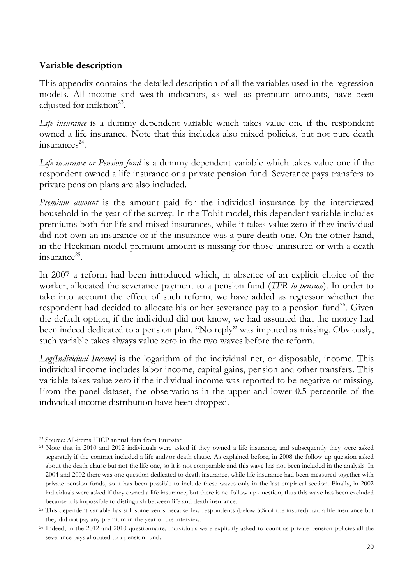#### **Variable description**

This appendix contains the detailed description of all the variables used in the regression models. All income and wealth indicators, as well as premium amounts, have been adjusted for inflation<sup>23</sup>.

*Life insurance* is a dummy dependent variable which takes value one if the respondent owned a life insurance. Note that this includes also mixed policies, but not pure death  $in$ surances<sup>24</sup>.

*Life insurance or Pension fund* is a dummy dependent variable which takes value one if the respondent owned a life insurance or a private pension fund. Severance pays transfers to private pension plans are also included.

*Premium amount* is the amount paid for the individual insurance by the interviewed household in the year of the survey. In the Tobit model, this dependent variable includes premiums both for life and mixed insurances, while it takes value zero if they individual did not own an insurance or if the insurance was a pure death one. On the other hand, in the Heckman model premium amount is missing for those uninsured or with a death  $in$ surance $^{25}$ .

In 2007 a reform had been introduced which, in absence of an explicit choice of the worker, allocated the severance payment to a pension fund (*TFR to pension*). In order to take into account the effect of such reform, we have added as regressor whether the respondent had decided to allocate his or her severance pay to a pension fund<sup>26</sup>. Given the default option, if the individual did not know, we had assumed that the money had been indeed dedicated to a pension plan. "No reply" was imputed as missing. Obviously, such variable takes always value zero in the two waves before the reform.

*Log(Individual Income)* is the logarithm of the individual net, or disposable, income. This individual income includes labor income, capital gains, pension and other transfers. This variable takes value zero if the individual income was reported to be negative or missing. From the panel dataset, the observations in the upper and lower 0.5 percentile of the individual income distribution have been dropped.

l

<sup>23</sup> Source: All-items HICP annual data from Eurostat

<sup>&</sup>lt;sup>24</sup> Note that in 2010 and 2012 individuals were asked if they owned a life insurance, and subsequently they were asked separately if the contract included a life and/or death clause. As explained before, in 2008 the follow-up question asked about the death clause but not the life one, so it is not comparable and this wave has not been included in the analysis. In 2004 and 2002 there was one question dedicated to death insurance, while life insurance had been measured together with private pension funds, so it has been possible to include these waves only in the last empirical section. Finally, in 2002 individuals were asked if they owned a life insurance, but there is no follow-up question, thus this wave has been excluded because it is impossible to distinguish between life and death insurance.

<sup>&</sup>lt;sup>25</sup> This dependent variable has still some zeros because few respondents (below 5% of the insured) had a life insurance but they did not pay any premium in the year of the interview.

<sup>&</sup>lt;sup>26</sup> Indeed, in the 2012 and 2010 questionnaire, individuals were explicitly asked to count as private pension policies all the severance pays allocated to a pension fund.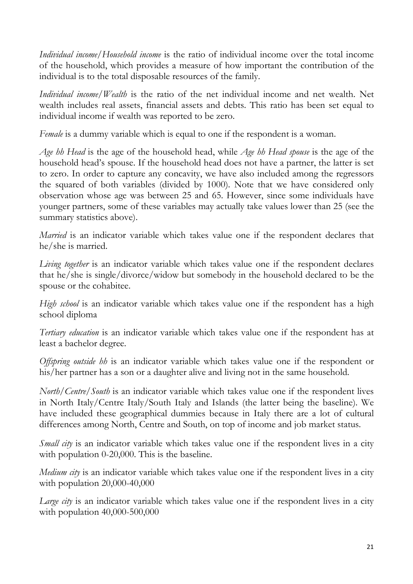*Individual income/Household income* is the ratio of individual income over the total income of the household, which provides a measure of how important the contribution of the individual is to the total disposable resources of the family.

*Individual income/Wealth* is the ratio of the net individual income and net wealth. Net wealth includes real assets, financial assets and debts. This ratio has been set equal to individual income if wealth was reported to be zero.

*Female* is a dummy variable which is equal to one if the respondent is a woman.

*Age hh Head* is the age of the household head, while *Age hh Head spouse* is the age of the household head's spouse. If the household head does not have a partner, the latter is set to zero. In order to capture any concavity, we have also included among the regressors the squared of both variables (divided by 1000). Note that we have considered only observation whose age was between 25 and 65. However, since some individuals have younger partners, some of these variables may actually take values lower than 25 (see the summary statistics above).

*Married* is an indicator variable which takes value one if the respondent declares that he/she is married.

*Living together* is an indicator variable which takes value one if the respondent declares that he/she is single/divorce/widow but somebody in the household declared to be the spouse or the cohabitee.

*High school* is an indicator variable which takes value one if the respondent has a high school diploma

*Tertiary education* is an indicator variable which takes value one if the respondent has at least a bachelor degree.

*Offspring outside hh* is an indicator variable which takes value one if the respondent or his/her partner has a son or a daughter alive and living not in the same household.

*North/Centre/South* is an indicator variable which takes value one if the respondent lives in North Italy/Centre Italy/South Italy and Islands (the latter being the baseline). We have included these geographical dummies because in Italy there are a lot of cultural differences among North, Centre and South, on top of income and job market status.

*Small city* is an indicator variable which takes value one if the respondent lives in a city with population 0-20,000. This is the baseline.

*Medium city* is an indicator variable which takes value one if the respondent lives in a city with population 20,000-40,000

*Large city* is an indicator variable which takes value one if the respondent lives in a city with population 40,000-500,000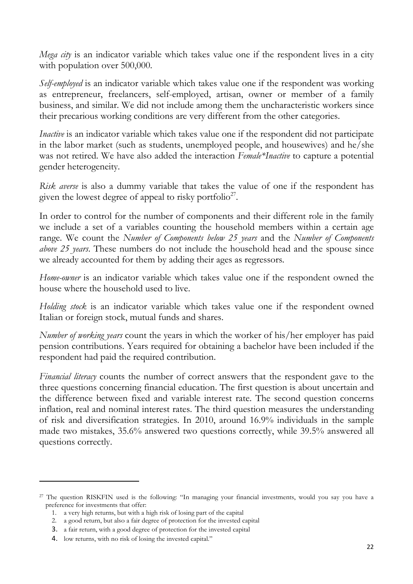*Mega city* is an indicator variable which takes value one if the respondent lives in a city with population over 500,000.

*Self-employed* is an indicator variable which takes value one if the respondent was working as entrepreneur, freelancers, self-employed, artisan, owner or member of a family business, and similar. We did not include among them the uncharacteristic workers since their precarious working conditions are very different from the other categories.

*Inactive* is an indicator variable which takes value one if the respondent did not participate in the labor market (such as students, unemployed people, and housewives) and he/she was not retired. We have also added the interaction *Female\*Inactive* to capture a potential gender heterogeneity.

*Risk averse* is also a dummy variable that takes the value of one if the respondent has given the lowest degree of appeal to risky portfolio<sup>27</sup>.

In order to control for the number of components and their different role in the family we include a set of a variables counting the household members within a certain age range. We count the *Number of Components below 25 years* and the *Number of Components above 25 years*. These numbers do not include the household head and the spouse since we already accounted for them by adding their ages as regressors.

*Home-owner* is an indicator variable which takes value one if the respondent owned the house where the household used to live.

*Holding stock* is an indicator variable which takes value one if the respondent owned Italian or foreign stock, mutual funds and shares.

*Number of working years* count the years in which the worker of his/her employer has paid pension contributions. Years required for obtaining a bachelor have been included if the respondent had paid the required contribution.

*Financial literacy* counts the number of correct answers that the respondent gave to the three questions concerning financial education. The first question is about uncertain and the difference between fixed and variable interest rate. The second question concerns inflation, real and nominal interest rates. The third question measures the understanding of risk and diversification strategies. In 2010, around 16.9% individuals in the sample made two mistakes, 35.6% answered two questions correctly, while 39.5% answered all questions correctly.

l

<sup>&</sup>lt;sup>27</sup> The question RISKFIN used is the following: "In managing your financial investments, would you say you have a preference for investments that offer:

<sup>1.</sup> a very high returns, but with a high risk of losing part of the capital

<sup>2.</sup> a good return, but also a fair degree of protection for the invested capital

<sup>3.</sup> a fair return, with a good degree of protection for the invested capital

<sup>4.</sup> low returns, with no risk of losing the invested capital."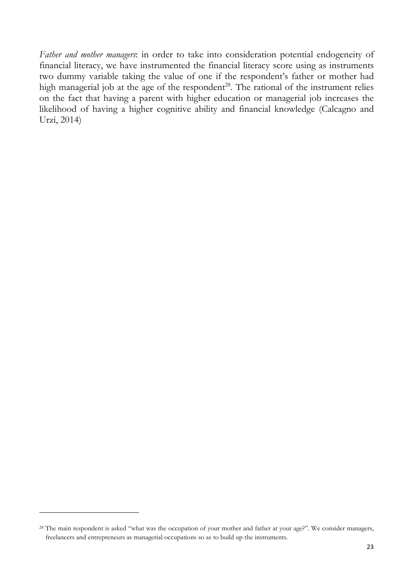*Father and mother managers*: in order to take into consideration potential endogeneity of financial literacy, we have instrumented the financial literacy score using as instruments two dummy variable taking the value of one if the respondent's father or mother had high managerial job at the age of the respondent<sup>28</sup>. The rational of the instrument relies on the fact that having a parent with higher education or managerial job increases the likelihood of having a higher cognitive ability and financial knowledge (Calcagno and Urzì, 2014)

<sup>&</sup>lt;sup>28</sup> The main respondent is asked "what was the occupation of your mother and father at your age?". We consider managers, freelancers and entrepreneurs as managerial occupations so as to build up the instruments.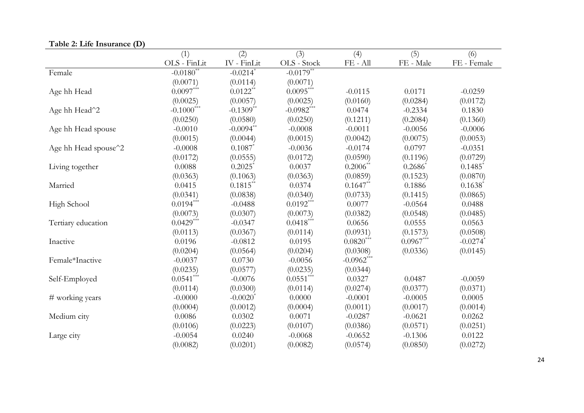| r abie 2. Ene mourance $(\nu)$   |               |                        |                  |              |             |                        |
|----------------------------------|---------------|------------------------|------------------|--------------|-------------|------------------------|
|                                  | (1)           | (2)                    | (3)              | (4)          | (5)         | (6)                    |
|                                  | OLS - FinLit  | IV - FinLit            | OLS - Stock      | $FE - All$   | FE - Male   | FE - Female            |
| Female                           | $-0.0180$ **  | $-0.0214$ <sup>*</sup> | $-0.0179**$      |              |             |                        |
|                                  | (0.0071)      | (0.0114)               | (0.0071)         |              |             |                        |
| Age hh Head                      | $0.0097***$   | $0.0122$ **            | $0.0095^{***}\,$ | $-0.0115$    | 0.0171      | $-0.0259$              |
|                                  | (0.0025)      | (0.0057)               | (0.0025)         | (0.0160)     | (0.0284)    | (0.0172)               |
| Age hh Head <sup>^2</sup>        | $-0.1000$ *** | $-0.1309**$            | $-0.0982***$     | 0.0474       | $-0.2334$   | 0.1830                 |
|                                  | (0.0250)      | (0.0580)               | (0.0250)         | (0.1211)     | (0.2084)    | (0.1360)               |
| Age hh Head spouse               | $-0.0010$     | $-0.0094**$            | $-0.0008$        | $-0.0011$    | $-0.0056$   | $-0.0006$              |
|                                  | (0.0015)      | (0.0044)               | (0.0015)         | (0.0042)     | (0.0075)    | (0.0053)               |
| Age hh Head spouse <sup>^2</sup> | $-0.0008$     | $0.1087$ <sup>*</sup>  | $-0.0036$        | $-0.0174$    | 0.0797      | $-0.0351$              |
|                                  | (0.0172)      | (0.0555)               | (0.0172)         | (0.0590)     | (0.1196)    | (0.0729)               |
| Living together                  | 0.0088        | $0.2025$ <sup>*</sup>  | 0.0037           | $0.2006$ **  | $0.2686*$   | $0.1485$ <sup>*</sup>  |
|                                  | (0.0363)      | (0.1063)               | (0.0363)         | (0.0859)     | (0.1523)    | (0.0870)               |
| Married                          | 0.0415        | $0.1815$ **            | 0.0374           | $0.1647**$   | 0.1886      | $0.1638$ <sup>*</sup>  |
|                                  | (0.0341)      | (0.0838)               | (0.0340)         | (0.0733)     | (0.1415)    | (0.0865)               |
| High School                      | $0.0194***$   | $-0.0488$              | $0.0192***$      | 0.0077       | $-0.0564$   | 0.0488                 |
|                                  | (0.0073)      | (0.0307)               | (0.0073)         | (0.0382)     | (0.0548)    | (0.0485)               |
| Tertiary education               | $0.0429***$   | $-0.0347$              | $0.0418***$      | 0.0656       | 0.0555      | 0.0563                 |
|                                  | (0.0113)      | (0.0367)               | (0.0114)         | (0.0931)     | (0.1573)    | (0.0508)               |
| Inactive                         | 0.0196        | $-0.0812$              | 0.0195           | $0.0820***$  | $0.0967***$ | $-0.0274$ <sup>*</sup> |
|                                  | (0.0204)      | (0.0564)               | (0.0204)         | (0.0308)     | (0.0336)    | (0.0145)               |
| Female*Inactive                  | $-0.0037$     | 0.0730                 | $-0.0056$        | $-0.0962***$ |             |                        |
|                                  | (0.0235)      | (0.0577)               | (0.0235)         | (0.0344)     |             |                        |
| Self-Employed                    | $0.0541***$   | $-0.0076$              | $0.0551***$      | 0.0327       | 0.0487      | $-0.0059$              |
|                                  | (0.0114)      | (0.0300)               | (0.0114)         | (0.0274)     | (0.0377)    | (0.0371)               |
| # working years                  | $-0.0000$     | $-0.0020$ <sup>*</sup> | 0.0000           | $-0.0001$    | $-0.0005$   | 0.0005                 |
|                                  | (0.0004)      | (0.0012)               | (0.0004)         | (0.0011)     | (0.0017)    | (0.0014)               |
| Medium city                      | 0.0086        | 0.0302                 | 0.0071           | $-0.0287$    | $-0.0621$   | 0.0262                 |
|                                  | (0.0106)      | (0.0223)               | (0.0107)         | (0.0386)     | (0.0571)    | (0.0251)               |
| Large city                       | $-0.0054$     | 0.0240                 | $-0.0068$        | $-0.0652$    | $-0.1306$   | 0.0122                 |
|                                  | (0.0082)      | (0.0201)               | (0.0082)         | (0.0574)     | (0.0850)    | (0.0272)               |

#### **Table 2: Life Insurance (D)**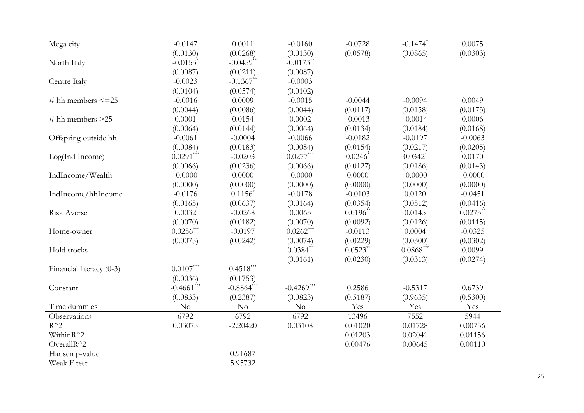| Mega city                | $-0.0147$              | 0.0011        | $-0.0160$               | $-0.0728$             | $-0.1474$ <sup>*</sup> | 0.0075     |
|--------------------------|------------------------|---------------|-------------------------|-----------------------|------------------------|------------|
|                          | (0.0130)               | (0.0268)      | (0.0130)                | (0.0578)              | (0.0865)               | (0.0303)   |
| North Italy              | $-0.0153$ <sup>*</sup> | $-0.0459**$   | $-0.0173$ <sup>**</sup> |                       |                        |            |
|                          | (0.0087)               | (0.0211)      | (0.0087)                |                       |                        |            |
| Centre Italy             | $-0.0023$              | $-0.1367**$   | $-0.0003$               |                       |                        |            |
|                          | (0.0104)               | (0.0574)      | (0.0102)                |                       |                        |            |
| # hh members $\leq$ = 25 | $-0.0016$              | 0.0009        | $-0.0015$               | $-0.0044$             | $-0.0094$              | 0.0049     |
|                          | (0.0044)               | (0.0086)      | (0.0044)                | (0.0117)              | (0.0158)               | (0.0173)   |
| # hh members $>25$       | 0.0001                 | 0.0154        | 0.0002                  | $-0.0013$             | $-0.0014$              | 0.0006     |
|                          | (0.0064)               | (0.0144)      | (0.0064)                | (0.0134)              | (0.0184)               | (0.0168)   |
| Offspring outside hh     | $-0.0061$              | $-0.0004$     | $-0.0066$               | $-0.0182$             | $-0.0197$              | $-0.0063$  |
|                          | (0.0084)               | (0.0183)      | (0.0084)                | (0.0154)              | (0.0217)               | (0.0205)   |
| Log(Ind Income)          | $0.0291***$            | $-0.0203$     | $0.0277***$             | $0.0246$ <sup>*</sup> | $0.0342$ <sup>*</sup>  | 0.0170     |
|                          | (0.0066)               | (0.0236)      | (0.0066)                | (0.0127)              | (0.0186)               | (0.0143)   |
| IndIncome/Wealth         | $-0.0000$              | 0.0000        | $-0.0000$               | 0.0000                | $-0.0000$              | $-0.0000$  |
|                          | (0.0000)               | (0.0000)      | (0.0000)                | (0.0000)              | (0.0000)               | (0.0000)   |
| IndIncome/hhIncome       | $-0.0176$              | $0.1156*$     | $-0.0178$               | $-0.0103$             | 0.0120                 | $-0.0451$  |
|                          | (0.0165)               | (0.0637)      | (0.0164)                | (0.0354)              | (0.0512)               | (0.0416)   |
| <b>Risk Averse</b>       | 0.0032                 | $-0.0268$     | 0.0063                  | $0.0196^{**}$         | 0.0145                 | $0.0273**$ |
|                          | (0.0070)               | (0.0182)      | (0.0070)                | (0.0092)              | (0.0126)               | (0.0115)   |
| Home-owner               | $0.0256***$            | $-0.0197$     | $0.0262***$             | $-0.0113$             | 0.0004                 | $-0.0325$  |
|                          | (0.0075)               | (0.0242)      | (0.0074)                | (0.0229)              | (0.0300)               | (0.0302)   |
| Hold stocks              |                        |               | $0.0384**$              | $0.0523**$            | $0.0868***$            | 0.0099     |
|                          |                        |               | (0.0161)                | (0.0230)              | (0.0313)               | (0.0274)   |
| Financial literacy (0-3) | $0.0107***$            | $0.4518***$   |                         |                       |                        |            |
|                          | (0.0036)               | (0.1753)      |                         |                       |                        |            |
| Constant                 | $-0.4661$ ***          | $-0.8864$ *** | $-0.4269***$            | 0.2586                | $-0.5317$              | 0.6739     |
|                          | (0.0833)               | (0.2387)      | (0.0823)                | (0.5187)              | (0.9635)               | (0.5300)   |
| Time dummies             | No                     | No            | No                      | Yes                   | Yes                    | Yes        |
| Observations             | 6792                   | 6792          | 6792                    | 13496                 | 7552                   | 5944       |
| $R^2$                    | 0.03075                | $-2.20420$    | 0.03108                 | 0.01020               | 0.01728                | 0.00756    |
| WithinR^2                |                        |               |                         | 0.01203               | 0.02041                | 0.01156    |
| OverallR^2               |                        |               |                         | 0.00476               | 0.00645                | 0.00110    |
| Hansen p-value           |                        | 0.91687       |                         |                       |                        |            |
| Weak F test              |                        | 5.95732       |                         |                       |                        |            |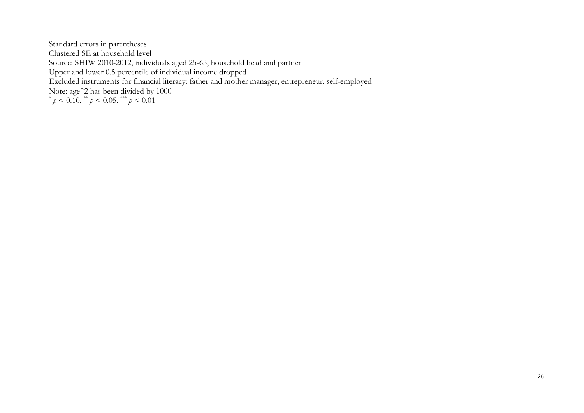Standard errors in parentheses Clustered SE at household level Source: SHIW 2010-2012, individuals aged 25-65, household head and partner Upper and lower 0.5 percentile of individual income dropped Excluded instruments for financial literacy: father and mother manager, entrepreneur, self-employed Note: age^2 has been divided by 1000<br> *\**  $p < 0.10$ , \*\*  $p < 0.05$ , \*\*\*  $p < 0.01$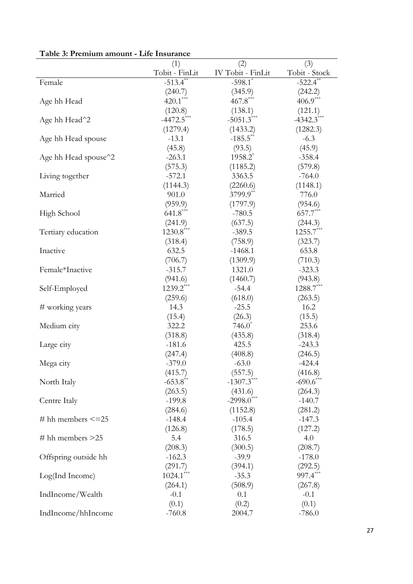| I able 5: Premium amount - Life Insurance |                 |                         |                 |  |
|-------------------------------------------|-----------------|-------------------------|-----------------|--|
|                                           | (1)             | (2)                     | (3)             |  |
|                                           | Tobit - FinLit  | IV Tobit - FinLit       | Tobit - Stock   |  |
| Female                                    | $-513.4***$     | $-598.1$ <sup>*</sup>   | $-522.4$ **     |  |
|                                           | (240.7)         | (345.9)                 | (242.2)         |  |
| Age hh Head                               | $420.1***$      | $467.8***$              | $406.9***$      |  |
|                                           | (120.8)         | (138.1)                 | (121.1)         |  |
| Age hh Head <sup>^2</sup>                 | $-4472.5$       | $-5051.3$ <sup>**</sup> | $-4342.3$       |  |
|                                           | (1279.4)        | (1433.2)                | (1282.3)        |  |
| Age hh Head spouse                        | $-13.1$         | $-185.5$ **             | $-6.3$          |  |
|                                           | (45.8)          | (93.5)                  | (45.9)          |  |
| Age hh Head spouse^2                      | $-263.1$        | 1958.2                  | $-358.4$        |  |
|                                           | (575.3)         | (1185.2)                | (579.8)         |  |
| Living together                           | $-572.1$        | 3363.5                  | $-764.0$        |  |
|                                           | (1144.3)        | (2260.6)                | (1148.1)        |  |
| Married                                   | 901.0           | $3799.9***$             | 776.0           |  |
|                                           | (959.9)         | (1797.9)                | (954.6)         |  |
| High School                               | $641.8***$      | $-780.5$                | 657.7***        |  |
|                                           | (241.9)         | (637.5)                 | (244.3)         |  |
| Tertiary education                        | $1230.8***$     | $-389.5$                | $1255.7***$     |  |
|                                           | (318.4)         | (758.9)                 | (323.7)         |  |
| Inactive                                  | 632.5           | $-1468.1$               | 653.8           |  |
|                                           | (706.7)         | (1309.9)                | (710.3)         |  |
| Female*Inactive                           | $-315.7$        | 1321.0                  | $-323.3$        |  |
|                                           | (941.6)         | (1460.7)                | (943.8)         |  |
| Self-Employed                             | $1239.2***$     | $-54.4$                 | $1288.7***$     |  |
|                                           |                 |                         |                 |  |
|                                           | (259.6)<br>14.3 | (618.0)<br>$-25.5$      | (263.5)<br>16.2 |  |
| # working years                           |                 |                         |                 |  |
|                                           | (15.4)          | (26.3)                  | (15.5)          |  |
| Medium city                               | 322.2           | $746.0^*$               | 253.6           |  |
|                                           | (318.8)         | (435.8)                 | (318.4)         |  |
| Large city                                | $-181.6$        | 425.5                   | $-243.3$        |  |
|                                           | (247.4)         | (408.8)                 | (246.5)         |  |
| Mega city                                 | $-379.0$        | $-63.0$                 | $-424.4$        |  |
|                                           | (415.7)         | (557.5)                 | (416.8)         |  |
| North Italy                               | $-653.8^*$      | $-1307.3***$            | $-690.6$ **     |  |
|                                           | (263.5)         | (431.6)                 | (264.3)         |  |
| Centre Italy                              | $-199.8$        | $-2998.0$ ***           | $-140.7$        |  |
|                                           | (284.6)         | (1152.8)                | (281.2)         |  |
| # hh members $\leq$ = 25                  | $-148.4$        | $-105.4$                | $-147.3$        |  |
|                                           | (126.8)         | (178.5)                 | (127.2)         |  |
| # hh members $>25$                        | 5.4             | 316.5                   | 4.0             |  |
|                                           | (208.3)         | (300.5)                 | (208.7)         |  |
| Offspring outside hh                      | $-162.3$        | $-39.9$                 | $-178.0$        |  |
|                                           | (291.7)         | (394.1)                 | (292.5)         |  |
| Log(Ind Income)                           | $1024.1***$     | $-35.3$                 | 997.4***        |  |
|                                           | (264.1)         | (508.9)                 | (267.8)         |  |
| IndIncome/Wealth                          | $-0.1$          | 0.1                     | $-0.1$          |  |
|                                           | (0.1)           | (0.2)                   | (0.1)           |  |
| IndIncome/hhIncome                        | $-760.8$        | 2004.7                  | $-786.0$        |  |

**Table 3: Premium amount - Life Insurance**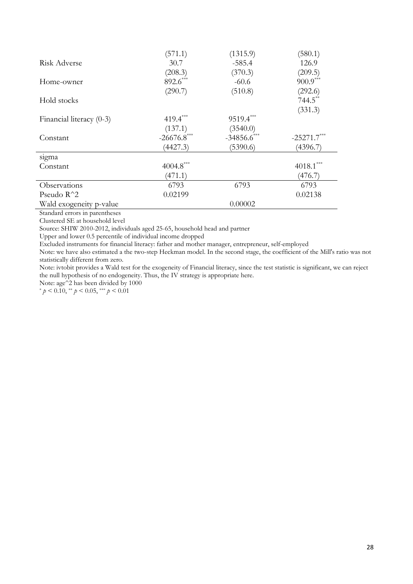|                            | (571.1)        | (1315.9)      | (580.1)       |
|----------------------------|----------------|---------------|---------------|
| Risk Adverse               | 30.7           | $-585.4$      | 126.9         |
|                            | (208.3)        | (370.3)       | (209.5)       |
| Home-owner                 | $892.6***$     | $-60.6$       | $900.9***$    |
|                            | (290.7)        | (510.8)       | (292.6)       |
| Hold stocks                |                |               | $744.5$ **    |
|                            |                |               | (331.3)       |
| Financial literacy $(0-3)$ | 419.4***       | $9519.4***$   |               |
|                            | (137.1)        | (3540.0)      |               |
| Constant                   | $-26676.8$ *** | $-34856.6$ ** | $-25271.7***$ |
|                            | (4427.3)       | (5390.6)      | (4396.7)      |
| sigma                      |                |               |               |
| Constant                   | $4004.8***$    |               | $4018.1***$   |
|                            | (471.1)        |               | (476.7)       |
| Observations               | 6793           | 6793          | 6793          |
| Pseudo $R^2$               | 0.02199        |               | 0.02138       |
| Wald exogeneity p-value    |                | 0.00002       |               |
|                            |                |               |               |

Standard errors in parentheses

Clustered SE at household level

Source: SHIW 2010-2012, individuals aged 25-65, household head and partner

Upper and lower 0.5 percentile of individual income dropped

Excluded instruments for financial literacy: father and mother manager, entrepreneur, self-employed

Note: we have also estimated a the two-step Heckman model. In the second stage, the coefficient of the Mill's ratio was not statistically different from zero.

Note: ivtobit provides a Wald test for the exogeneity of Financial literacy, since the test statistic is significant, we can reject the null hypothesis of no endogeneity. Thus, the IV strategy is appropriate here.

Note: age^2 has been divided by 1000

\* *p* < 0.10, \*\* *p* < 0.05, \*\*\* *p* < 0.01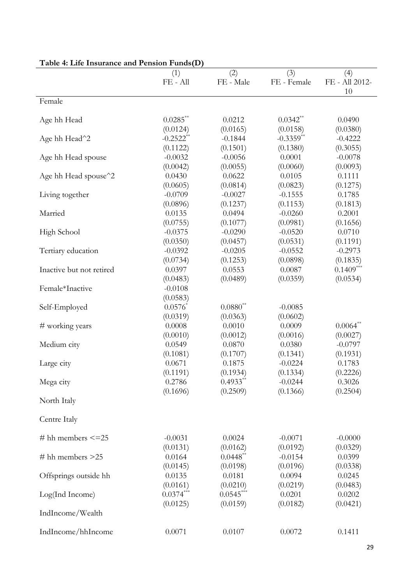|                          | (1)          | (2)           | (3)                     | (4)            |
|--------------------------|--------------|---------------|-------------------------|----------------|
|                          | $FE - All$   | FE - Male     | FE - Female             | FE - All 2012- |
|                          |              |               |                         | 10             |
|                          |              |               |                         |                |
| Female                   |              |               |                         |                |
|                          |              |               |                         |                |
| Age hh Head              | $0.0285$ **  | 0.0212        | $0.0342$ **             | 0.0490         |
|                          | (0.0124)     | (0.0165)      | (0.0158)                | (0.0380)       |
| Age hh Head^2            | $-0.2522$ ** | $-0.1844$     | $-0.3359$ <sup>**</sup> | $-0.4222$      |
|                          | (0.1122)     | (0.1501)      | (0.1380)                | (0.3055)       |
| Age hh Head spouse       | $-0.0032$    | $-0.0056$     | 0.0001                  | $-0.0078$      |
|                          | (0.0042)     | (0.0055)      | (0.0060)                | (0.0093)       |
| Age hh Head spouse^2     | 0.0430       | 0.0622        | 0.0105                  | 0.1111         |
|                          | (0.0605)     | (0.0814)      | (0.0823)                | (0.1275)       |
| Living together          | $-0.0709$    | $-0.0027$     | $-0.1555$               | 0.1785         |
|                          | (0.0896)     | (0.1237)      | (0.1153)                | (0.1813)       |
| Married                  | 0.0135       | 0.0494        | $-0.0260$               | 0.2001         |
|                          | (0.0755)     | (0.1077)      | (0.0981)                | (0.1656)       |
| High School              | $-0.0375$    | $-0.0290$     | $-0.0520$               | 0.0710         |
|                          | (0.0350)     | (0.0457)      | (0.0531)                | (0.1191)       |
| Tertiary education       | $-0.0392$    | $-0.0205$     | $-0.0552$               | $-0.2973$      |
|                          | (0.0734)     | (0.1253)      | (0.0898)                | (0.1835)       |
| Inactive but not retired | 0.0397       | 0.0553        | 0.0087                  | $0.1409***$    |
|                          | (0.0483)     | (0.0489)      | (0.0359)                | (0.0534)       |
| Female*Inactive          | $-0.0108$    |               |                         |                |
|                          |              |               |                         |                |
|                          | (0.0583)     |               |                         |                |
| Self-Employed            | 0.0576       | $0.0880^{**}$ | $-0.0085$               |                |
|                          | (0.0319)     | (0.0363)      | (0.0602)                |                |
| # working years          | 0.0008       | 0.0010        | 0.0009                  | $0.0064$ **    |
|                          | (0.0010)     | (0.0012)      | (0.0016)                | (0.0027)       |
| Medium city              | 0.0549       | 0.0870        | 0.0380                  | $-0.0797$      |
|                          | (0.1081)     | (0.1707)      | (0.1341)                | (0.1931)       |
| Large city               | 0.0671       | 0.1875        | $-0.0224$               | 0.1783         |
|                          | (0.1191)     | (0.1934)      | (0.1334)                | (0.2226)       |
| Mega city                | 0.2786       | $0.4933**$    | $-0.0244$               | 0.3026         |
|                          | (0.1696)     | (0.2509)      | (0.1366)                | (0.2504)       |
| North Italy              |              |               |                         |                |
|                          |              |               |                         |                |
| Centre Italy             |              |               |                         |                |
|                          |              |               |                         |                |
| # hh members $\leq$ = 25 | $-0.0031$    | 0.0024        | $-0.0071$               | $-0.0000$      |
|                          | (0.0131)     | (0.0162)      | (0.0192)                | (0.0329)       |
| # hh members $>25$       | 0.0164       | $0.0448$ **   | $-0.0154$               | 0.0399         |
|                          | (0.0145)     | (0.0198)      | (0.0196)                | (0.0338)       |
|                          | 0.0135       | 0.0181        | 0.0094                  | 0.0245         |
| Offsprings outside hh    | (0.0161)     |               |                         |                |
|                          |              | (0.0210)      | (0.0219)                | (0.0483)       |
| Log(Ind Income)          | $0.0374***$  | $0.0545***$   | 0.0201                  | 0.0202         |
|                          | (0.0125)     | (0.0159)      | (0.0182)                | (0.0421)       |
| IndIncome/Wealth         |              |               |                         |                |
|                          |              |               |                         |                |
| IndIncome/hhIncome       | 0.0071       | 0.0107        | 0.0072                  | 0.1411         |

### **Table 4: Life Insurance and Pension Funds(D)**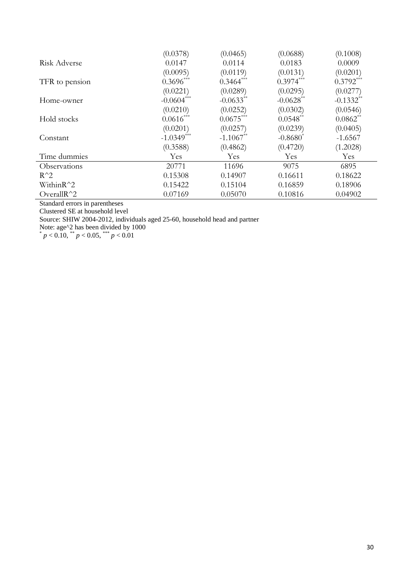|                                | (0.0378)     | (0.0465)                | (0.0688)                | (0.1008)     |
|--------------------------------|--------------|-------------------------|-------------------------|--------------|
| Risk Adverse                   | 0.0147       | 0.0114                  | 0.0183                  | 0.0009       |
|                                | (0.0095)     | (0.0119)                | (0.0131)                | (0.0201)     |
| TFR to pension                 | $0.3696***$  | $0.3464^{***}$          | $0.3974***$             | $0.3792***$  |
|                                | (0.0221)     | (0.0289)                | (0.0295)                | (0.0277)     |
| Home-owner                     | $-0.0604***$ | $-0.0633$ <sup>**</sup> | $-0.0628$ <sup>**</sup> | $-0.1332$ ** |
|                                | (0.0210)     | (0.0252)                | (0.0302)                | (0.0546)     |
| Hold stocks                    | $0.0616***$  | $0.0675***$             | $0.0548$ **             | $0.0862$ **  |
|                                | (0.0201)     | (0.0257)                | (0.0239)                | (0.0405)     |
| Constant                       | $-1.0349***$ | $-1.1067$ <sup>**</sup> | $-0.8680^*$             | $-1.6567$    |
|                                | (0.3588)     | (0.4862)                | (0.4720)                | (1.2028)     |
| Time dummies                   | Yes.         | Yes.                    | Yes                     | Yes          |
| Observations                   | 20771        | 11696                   | 9075                    | 6895         |
| $R^2$                          | 0.15308      | 0.14907                 | 0.16611                 | 0.18622      |
| WithinR^2                      | 0.15422      | 0.15104                 | 0.16859                 | 0.18906      |
| OverallR^2                     | 0.07169      | 0.05070                 | 0.10816                 | 0.04902      |
| Standard errors in parentheses |              |                         |                         |              |

Clustered SE at household level

Source: SHIW 2004-2012, individuals aged 25-60, household head and partner

Note: age<sup> $\gamma$ </sup> has been divided by 1000<br>
<sup>\*</sup> *p* < 0.10, \*\* *p* < 0.05, \*\*\* *p* < 0.01